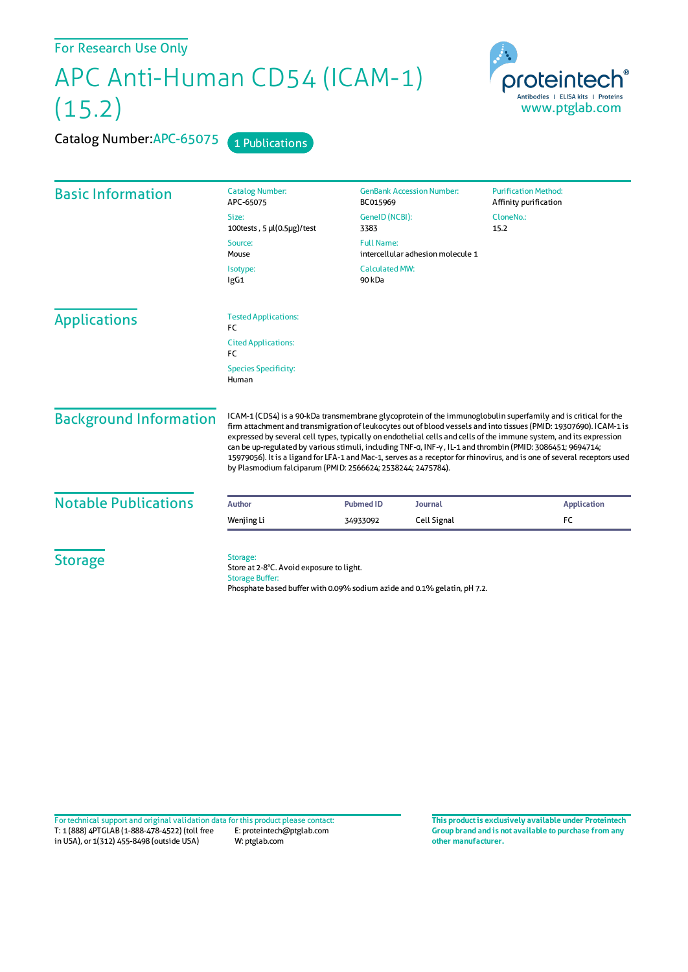## APC Anti-Human CD54 (ICAM-1) (15.2)



Catalog Number: APC-65075 1 Publications

| <b>Basic Information</b>      | <b>Catalog Number:</b><br>APC-65075                                                                                                                                                                                                                                                                                                                                                                                                                                                                                                                                                                                                                                 | <b>GenBank Accession Number:</b><br>BC015969 |             | <b>Purification Method:</b><br>Affinity purification |
|-------------------------------|---------------------------------------------------------------------------------------------------------------------------------------------------------------------------------------------------------------------------------------------------------------------------------------------------------------------------------------------------------------------------------------------------------------------------------------------------------------------------------------------------------------------------------------------------------------------------------------------------------------------------------------------------------------------|----------------------------------------------|-------------|------------------------------------------------------|
|                               | Size:<br>100tests, $5 \mu(0.5 \mu g)/\text{test}$                                                                                                                                                                                                                                                                                                                                                                                                                                                                                                                                                                                                                   | GeneID (NCBI):<br>3383                       |             | CloneNo.:<br>15.2                                    |
|                               | <b>Full Name:</b><br>Source:<br>intercellular adhesion molecule 1<br>Mouse                                                                                                                                                                                                                                                                                                                                                                                                                                                                                                                                                                                          |                                              |             |                                                      |
|                               | <b>Calculated MW:</b><br>Isotype:<br>IgG1<br>90 kDa                                                                                                                                                                                                                                                                                                                                                                                                                                                                                                                                                                                                                 |                                              |             |                                                      |
| <b>Applications</b>           | <b>Tested Applications:</b><br>FC                                                                                                                                                                                                                                                                                                                                                                                                                                                                                                                                                                                                                                   |                                              |             |                                                      |
|                               | <b>Cited Applications:</b><br>FC                                                                                                                                                                                                                                                                                                                                                                                                                                                                                                                                                                                                                                    |                                              |             |                                                      |
|                               | <b>Species Specificity:</b><br>Human                                                                                                                                                                                                                                                                                                                                                                                                                                                                                                                                                                                                                                |                                              |             |                                                      |
| <b>Background Information</b> | ICAM-1 (CD54) is a 90-kDa transmembrane glycoprotein of the immunoglobulin superfamily and is critical for the<br>firm attachment and transmigration of leukocytes out of blood vessels and into tissues (PMID: 19307690). ICAM-1 is<br>expressed by several cell types, typically on endothelial cells and cells of the immune system, and its expression<br>can be up-regulated by various stimuli, including TNF-a, INF-y, IL-1 and thrombin (PMID: 3086451; 9694714;<br>15979056). It is a ligand for LFA-1 and Mac-1, serves as a receptor for rhinovirus, and is one of several receptors used<br>by Plasmodium falciparum (PMID: 2566624; 2538244; 2475784). |                                              |             |                                                      |
| <b>Notable Publications</b>   | <b>Author</b>                                                                                                                                                                                                                                                                                                                                                                                                                                                                                                                                                                                                                                                       | <b>Pubmed ID</b>                             | Journal     | <b>Application</b>                                   |
|                               | Wenjing Li                                                                                                                                                                                                                                                                                                                                                                                                                                                                                                                                                                                                                                                          | 34933092                                     | Cell Signal | FC                                                   |
| <b>Storage</b>                | Storage:<br>Store at 2-8°C. Avoid exposure to light.<br><b>Storage Buffer:</b><br>Phosphate based buffer with 0.09% sodium azide and 0.1% gelatin, pH 7.2.                                                                                                                                                                                                                                                                                                                                                                                                                                                                                                          |                                              |             |                                                      |

T: 1 (888) 4PTGLAB (1-888-478-4522) (toll free in USA), or 1(312) 455-8498 (outside USA) E: proteintech@ptglab.com W: ptglab.com Fortechnical support and original validation data forthis product please contact: **This productis exclusively available under Proteintech**

**Group brand and is not available to purchase from any other manufacturer.**